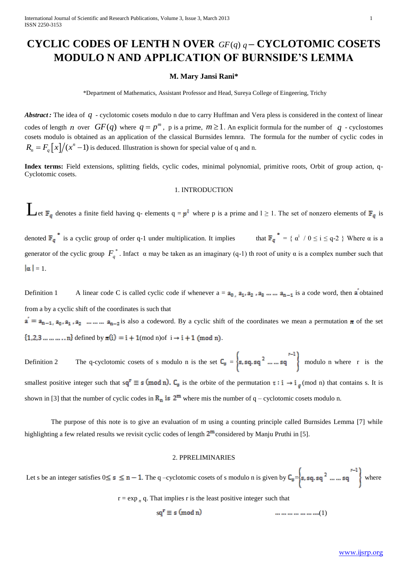# **CYCLIC CODES OF LENTH N OVER**  $GF(q)$   $q$  – **CYCLOTOMIC COSETS MODULO N AND APPLICATION OF BURNSIDE'S LEMMA**

### **M. Mary Jansi Rani\***

\*Department of Mathematics, Assistant Professor and Head, Sureya College of Eingeering, Trichy

Abstract: The idea of q - cyclotomic cosets modulo n due to carry Huffman and Vera pless is considered in the context of linear codes of length *n* over  $GF(q)$  where  $q = p^m$ , p is a prime,  $m \ge 1$ . An explicit formula for the number of q - cyclostomes cosets modulo is obtained as an application of the classical Burnsides lemnra. The formula for the number of cyclic codes in  $R_n = F_q \left[ x \right] / (x^n - 1)$  is deduced. Illustration is shown for special value of q and n.

**Index terms:** Field extensions, splitting fields, cyclic codes, minimal polynomial, primitive roots, Orbit of group action, q-Cyclotomic cosets.

### 1. INTRODUCTION

Let  $\mathbb{F}_q$  denotes a finite field having q- elements  $q = p^l$  where p is a prime and  $l \ge 1$ . The set of nonzero elements of  $\mathbb{F}_q$  is

denoted  $\mathbb{F}_q^*$  is a cyclic group of order q-1 under multiplication. It implies that  $\mathbb{F}_q^* = \{ \alpha^i / 0 \le i \le q-2 \}$  Where  $\alpha$  is a generator of the cyclic group  $F_q^*$ . Infact  $\alpha$  may be taken as an imaginary (q-1) th root of unity  $\alpha$  is a complex number such that  $|\alpha| = 1$ .

Definition 1 A linear code C is called cyclic code if whenever  $a = a_0$ ,  $a_1, a_2, a_3, \ldots, a_{n-1}$  is a code word, then a obtained from a by a cyclic shift of the coordinates is such that  $a' = a_{n-1}, a_0, a_1, a_2, \dots, a_{n-2}$  is also a codeword. By a cyclic shift of the coordinates we mean a permutation  $\pi$  of the set  $\{1, 2, 3, ..., ..., n\}$  defined by  $\pi(i) = i + 1 \pmod{n}$  of  $i \to i + 1 \pmod{n}$ .

Definition 2 The q-cyclotomic cosets of s modulo n is the set  $C_8 = \{s, sq, sq^2, ..., sq^2\}$  modulo n where r is the smallest positive integer such that  $sq^r \equiv s \pmod{n}$ .  $C_s$  is the orbite of the permutation  $\tau : i \to i_g \pmod{n}$  that contains s. It is shown in [3] that the number of cyclic codes in  $\mathbb{R}_n$  is  $2^m$  where mis the number of q – cyclotomic cosets modulo n.

The purpose of this note is to give an evaluation of m using a counting principle called Burnsides Lemma [7] while highlighting a few related results we revisit cyclic codes of length  $2^m$  considered by Manju Pruthi in [5].

### 2. PPRELIMINARIES

Let s be an integer satisfies  $0 \le s \le n - 1$ . The q-cyclotomic cosets of s modulo n is given by  $C_8 = \left\{ s, sq, sq^2, ..., sq^2 \right\}$  where  $r = \exp_n q$ . That implies r is the least positive integer such that

 $sq^r \equiv s \pmod{n}$  (mod n)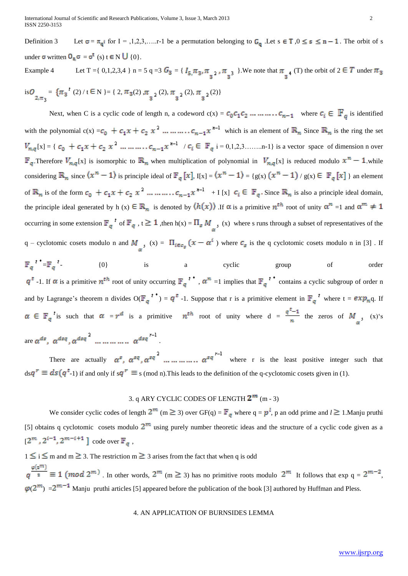Definition 3 Let  $\sigma = \pi_{q}$  for  $I = 1, 2, 3, \ldots$ . The a permutation belonging to  $G_q$ . Let  $s \in T$ ,  $0 \le s \le n - 1$ . The orbit of s under  $\sigma$  written  $\sigma_{s} \sigma = \sigma^{t}$  (s)  $t \in N \cup \{0\}$ .

Example 4 Let T = { 0,1,2,3,4 } n = 5 q = 3 G<sub>3</sub> = { 
$$
I_{5,}\pi_{3}, \pi_{3^2}, \pi_{3^3}
$$
 }. We note that  $\pi_{3^4}$  (T) the orbit of  $2 \in T$  under  $\pi_{3}$   
is $O_{2,\pi_{3}} = {\pi_{3}^2 (2) / t \in N} = { 2, \pi_{3}(2), \pi_{3^2}(2), \pi_{3^2}(2), \pi_{3^2}(2)}$ 

Next, when C is a cyclic code of length n, a codeword  $c(x) = c_0 c_1 c_2 \dots \dots \dots \dots c_{n-1}$  where  $c_i \in \mathbb{F}_q$  is identified with the polynomial  $c(x) = c_0 + c_1 x + c_2 x^2$  ... ... ...  $c_{n-1} x^{n-1}$  which is an element of  $\mathbb{R}_n$  Since  $\mathbb{R}_n$  is the ring the set [x] = { / i = 0,1,2,3……..n-1} is a vector space of dimension n over  $\mathbb{F}_q$ . Therefore  $V_{n,q}[x]$  is isomorphic to  $\mathbb{R}_n$  when multiplication of polynomial in  $V_{n,q}[x]$  is reduced modulo  $x^n-1$  while considering  $\mathbb{R}_n$  since  $\langle x^n - 1 \rangle$  is principle ideal of  $\mathbb{F}_q[x]$ ,  $I[x] = \langle x^n - 1 \rangle = \{g(x) (x^n - 1) / g(x) \in \mathbb{F}_q[x] \}$  an element of  $\mathbb{R}_n$  is of the form  $c_0 + c_1 x + c_2 x^2$  ... ... ... ..  $c_{n-1} x^{n-1} + I[x]$   $c_i \in \mathbb{F}_q$ . Since  $\mathbb{R}_n$  is also a principle ideal domain, the principle ideal generated by h (x)  $\in \mathbb{R}_n$  is denoted by  $\langle h(x) \rangle$ . If  $\alpha$  is a primitive  $n^{th}$  root of unity  $\alpha^n =1$  and  $\alpha^m \neq 1$ occurring in some extension  $\mathbb{F}_q^t$  of  $\mathbb{F}_q$ ,  $t \geq 1$ , then  $h(x) = \prod_s M_s$ , (x) where s runs through a subset of representatives of the q – cyclotomic cosets modulo n and  $M_{s}$ ,  $(x) = \prod_{i \in \sigma_s} (x - \alpha^i)$  where  $c_s$  is the q cyclotomic cosets modulo n in [3]. If

 $=\mathbb{F}_{q}$   $\left\{\n\begin{array}{ccc}\n-1 & 0 \\
0 & \text{is} \\
0 & \text{is}\n\end{array}\n\right.$  a cyclic group of order  $q^t$ -1. If  $\alpha$  is a primitive  $n^{th}$  root of unity occurring  $\mathbb{F}_q$ <sup>t</sub>,  $\alpha^n$  =1 implies that  $\mathbb{F}_q$ <sup>t</sup>, contains a cyclic subgroup of order n</sup> and by Lagrange's theorem n divides  $O(\mathbb{F}_q^{t}) = q^t$  -1. Suppose that r is a primitive element in  $\mathbb{F}_q^{t}$  where  $t = exp_n q$ . If  $\alpha \in \mathbb{F}_q$  is such that  $\alpha = r^d$  is a primitive  $n^{th}$  root of unity where  $d = \frac{q^t-1}{n}$  the zeros of  $M_{s}$ ,  $(x)^s$ are .

There are actually  $\alpha^s$ ,  $\alpha^{sq}$ ,  $\alpha^{sq}$   $\cdots$   $\cdots$   $\cdots$   $\alpha^{sq}$   $\cdots$  where r is the least positive integer such that  $ds q^r \equiv ds (q^t-1)$  if and only if  $sq^r \equiv s \pmod{n}$ . This leads to the definition of the q-cyclotomic cosets given in (1).

# 3. q ARY CYCLIC CODES OF LENGTH  $2^m$  (m - 3)

We consider cyclic codes of length  $2^m$  (m  $\geq$  3) over GF(q) =  $\mathbb{F}_q$  where q =  $p^l$ , p an odd prime and  $l \geq 1$ . Manju pruthi [5] obtains q cyclotomic cosets modulo  $2^m$  using purely number theoretic ideas and the structure of a cyclic code given as a  $[2^m, 2^{i-1}, 2^{m-i+1}]$  code over  $\mathbb{F}_q$ ,

 $1 \le i \le m$  and  $m \ge 3$ . The restriction  $m \ge 3$  arises from the fact that when q is odd

 $q^{\frac{\varphi(z^m)}{2}} \equiv 1 \pmod{2^m}$ . In other words,  $2^m$  (m  $\geq$  3) has no primitive roots modulo  $2^m$  It follows that  $\exp q = 2^{m-2}$ ,  $\varphi(2^m) = 2^{m-1}$  Manju pruthi articles [5] appeared before the publication of the book [3] authored by Huffman and Pless.

## 4. AN APPLICATION OF BURNSIDES LEMMA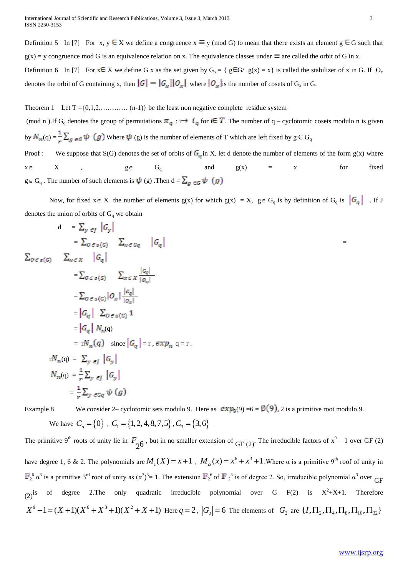Definition 5 In [7] For x,  $y \in X$  we define a congruence  $x \equiv y \pmod{G}$  to mean that there exists an element  $g \in G$  such that  $g(x) = y$  congruence mod G is an equivalence relation on x. The equivalence classes under  $\equiv$  are called the orbit of G in x. Definition 6 In [7] For  $x \in X$  we define G x as the set given by  $G_x = \{ g \in G / g(x) = x \}$  is called the stabilizer of x in G. If  $O_x$ 

denotes the orbit of G containing x, then  $|G| = |G_x||O_x|$  where  $|O_x|$  is the number of cosets of  $G_x$  in G.

Theorem 1 Let  $T = \{0,1,2,...,$  (n-1)} be the least non negative complete residue system

(mod n).If G<sub>q</sub> denotes the group of permutations  $\pi_q : i \to i_q$  for  $i \in T$ . The number of q – cyclotomic cosets modulo n is given by  $N_n(q) = \frac{1}{n} \sum_{g \in G} \psi(g)$  Where  $\psi(g)$  is the number of elements of T which are left fixed by  $g \in G_q$ Proof : We suppose that S(G) denotes the set of orbits of  $G<sub>g</sub>$  in X. let d denote the number of elements of the form  $g(x)$  where  $x \in X$ ,  $g \in G_q$  and  $g(x) = x$  for fixed

 $g \in G_q$ . The number of such elements is  $\psi$  (g). Then  $d = \sum_{g \in G} \psi$  (g)

Now, for fixed  $x \in X$  the number of elements  $g(x)$  for which  $g(x) = X$ ,  $g \in G_q$  is by definition of  $G_q$  is  $|G_q|$ . If J denotes the union of orbits of  $G_q$  we obtain

=

$$
d = \sum_{y \in J} |G_y|
$$
  
\n
$$
= \sum_{0 \in s(G)} \sum_{x \in G_Q} |G_q|
$$
  
\n
$$
\sum_{0 \in s(G)} \sum_{x \in X} |G_q|
$$
  
\n
$$
= \sum_{0 \in s(G)} \sum_{x \in X} \frac{|G_q|}{|G_x|}
$$
  
\n
$$
= \sum_{0 \in s(G)} |O_x| \frac{|G_q|}{|O_x|}
$$
  
\n
$$
= |G_q| \sum_{0 \in s(G)} 1
$$
  
\n
$$
= |G_q| N_n(q)
$$
  
\n
$$
= rN_n(q) \text{ since } |G_q| = r, exp_n q = r.
$$
  
\n
$$
rN_n(q) = \sum_{y \in J} |G_y|
$$
  
\n
$$
N_n(q) = \frac{1}{r} \sum_{y \in J} |G_y|
$$
  
\n
$$
= \frac{1}{r} \sum_{y \in G_q} \psi(g)
$$

Example 8 We consider 2– cyclotomic sets modulo 9. Here as  $exp<sub>9</sub>(9) = 6 = \emptyset(9)$ , 2 is a primitive root modulo 9. We have  $C_o = \{0\}$ ,  $C_1 = \{1, 2, 4, 8, 7, 5\}$ ,  $C_3 = \{3, 6\}$ 

The primitive 9<sup>th</sup> roots of unity lie in  $F_{26}$ , but in no smaller extension of GF (2). The irreducible factors of  $x^9 - 1$  over GF (2) have degree 1, 6 & 2. The polynomials are  $M_1(X) = x + 1$ ,  $M_\alpha(x) = x^6 + x^3 + 1$ . Where  $\alpha$  is a primitive 9<sup>th</sup> roof of unity in  $\int_2^6 \alpha^3$  is a primitive 3<sup>rd</sup> root of unity as  $(\alpha^3)^3 = 1$ . The extension  $\mathbb{F}_2^6$  of  $\mathbb{F}_2^3$  is of degree 2. So, irreducible polynomial  $\alpha^3$  over GF (2)<sup>is</sup> of degree 2. The only quadratic irreducible polynomial over G F(2) is  $X^2+X+1$ . Therefore  $X^9 - 1 = (X + 1)(X^6 + X^3 + 1)(X^2 + X + 1)$  Here  $q = 2$ ,  $|G_2| = 6$  The elements of  $G_2$  are  $\{I, \Pi_2, \Pi_4, \Pi_8, \Pi_{16}, \Pi_{32}\}$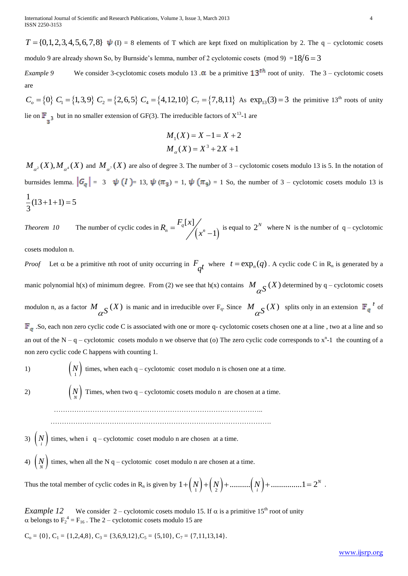$T = \{0, 1, 2, 3, 4, 5, 6, 7, 8\}$   $\psi$  (I) = 8 elements of T which are kept fixed on multiplication by 2. The q – cyclotomic cosets modulo 9 are already shown So, by Burnside's lemma, number of 2 cyclotomic cosets (mod 9) =  $18/6 = 3$ 

*Example 9* We consider 3-cyclotomic cosets modulo 13  $\alpha$  be a primitive  $13^{th}$  root of unity. The 3 – cyclotomic cosets are

 $C_o = \{0\}$   $C_1 = \{1,3,9\}$   $C_2 = \{2,6,5\}$   $C_4 = \{4,12,10\}$   $C_7 = \{7,8,11\}$  As  $\exp_{13}(3) = 3$  the primitive 13<sup>th</sup> roots of unity lie on  $\mathbb{F}$ , but in no smaller extension of GF(3). The irreducible factors of  $X^{13}$ -1 are

$$
M_1(X) = X - 1 = X + 2
$$
  

$$
M_{\alpha}(X) = X^3 + 2X + 1
$$

 $M_{\alpha^2}(X), M_{\alpha^4}(X)$  and  $M_{\alpha^7}(X)$  are also of degree 3. The number of 3 – cyclotomic cosets modulo 13 is 5. In the notation of burnsides lemma.  $|G_q| = 3 \quad \psi(I) = 13$ ,  $\psi(\pi_3) = 1$ ,  $\psi(\pi_9) = 1$  So, the number of 3 – cyclotomic cosets modulo 13 is  $\frac{1}{2}(13+1+1)=5$ 3  $+1+1=5$ 

*Theorem 10* The number of cyclic codes in  $\left(x^{n}-1\right)$  $\left[ x\right]$ 1  $R_n = \frac{F_q[x]}{x^n}$ *x*  $=$  $(-1)$  is equal to  $2^N$  where N is the number of q – cyclotomic

cosets modulon n.

T = {(1,1,2,3,4,5,7,8) **L** (1) + states or a violen as Lap Total contents of the Text in the Paris Contents of the Construction of the Construction of the Construction of the Construction of the Construction of the Constr *Proof* Let  $\alpha$  be a primitive nth root of unity occurring in  $F_{qt}$  where  $t = \exp_n(q)$ . A cyclic code C in R<sub>n</sub> is generated by a manic polynomial h(x) of minimum degree. From (2) we see that h(x) contains  $M_{\alpha}S(X)$  determined by q – cyclotomic cosets modulon n, as a factor  $M_{\alpha S}(X)$  is manic and in irreducible over  $F_q$ . Since  $M_{\alpha S}(X)$  splits only in an extension  $\mathbb{F}_q^{\dagger}$  of  $\mathbb{F}_q$ . So, each non zero cyclic code C is associated with one or more q- cyclotomic cosets chosen one at a line, two at a line and so an out of the  $N - q -$  cyclotomic cosets modulo n we observe that (o) The zero cyclic code corresponds to  $x<sup>n</sup>$ -1 the counting of a non zero cyclic code C happens with counting 1.

1) 
$$
\binom{N}{1}
$$
 times, when each q – cyclotomic coset modulo n is chosen one at a time.

2)  $\left(\begin{matrix}N\\N\end{matrix}\right)$  Times, when two q – cyclotomic cosets modulo n are chosen at a time.

………………………………………………………………………………..

…………………………………………………………………………………….

3)  $\binom{N}{i}$  times, when i q – cyclotomic coset modulo n are chosen at a time.

4)  $\binom{N}{N}$  times, when all the N q – cyclotomic coset modulo n are chosen at a time.

Thus the total member of cyclic codes in R<sub>n</sub> is given by  $1 + \left(\frac{N}{1}\right) + \left(\frac{N}{2}\right) + \dots + \left(\frac{N}{i}\right) + \dots + 1 = 2^N$ .

*Example 12* We consider 2 – cyclotomic cosets modulo 15. If  $\alpha$  is a primitive 15<sup>th</sup> root of unity  $\alpha$  belongs to  $F_2^4 = F_{16}$ . The 2 – cyclotomic cosets modulo 15 are

 $C_0 = \{0\}, C_1 = \{1,2,4,8\}, C_3 = \{3,6,9,12\}, C_5 = \{5,10\}, C_7 = \{7,11,13,14\}.$